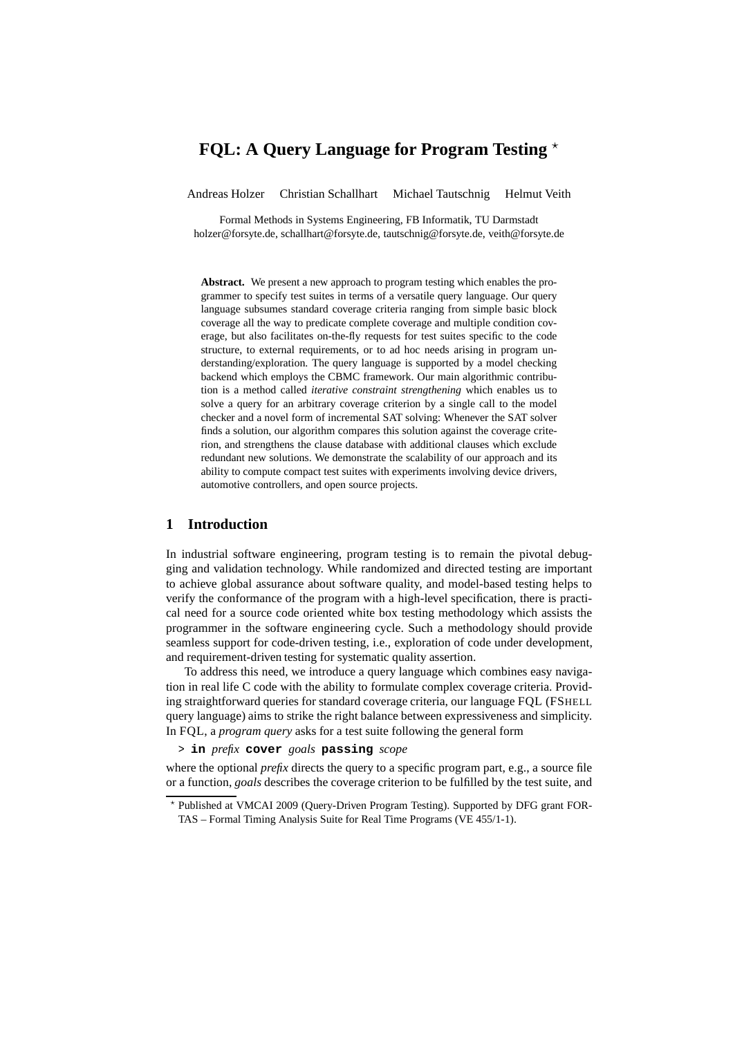# **FOL: A Query Language for Program Testing**  $\star$

Andreas Holzer Christian Schallhart Michael Tautschnig Helmut Veith

Formal Methods in Systems Engineering, FB Informatik, TU Darmstadt holzer@forsyte.de, schallhart@forsyte.de, tautschnig@forsyte.de, veith@forsyte.de

**Abstract.** We present a new approach to program testing which enables the programmer to specify test suites in terms of a versatile query language. Our query language subsumes standard coverage criteria ranging from simple basic block coverage all the way to predicate complete coverage and multiple condition coverage, but also facilitates on-the-fly requests for test suites specific to the code structure, to external requirements, or to ad hoc needs arising in program understanding/exploration. The query language is supported by a model checking backend which employs the CBMC framework. Our main algorithmic contribution is a method called *iterative constraint strengthening* which enables us to solve a query for an arbitrary coverage criterion by a single call to the model checker and a novel form of incremental SAT solving: Whenever the SAT solver finds a solution, our algorithm compares this solution against the coverage criterion, and strengthens the clause database with additional clauses which exclude redundant new solutions. We demonstrate the scalability of our approach and its ability to compute compact test suites with experiments involving device drivers, automotive controllers, and open source projects.

### **1 Introduction**

In industrial software engineering, program testing is to remain the pivotal debugging and validation technology. While randomized and directed testing are important to achieve global assurance about software quality, and model-based testing helps to verify the conformance of the program with a high-level specification, there is practical need for a source code oriented white box testing methodology which assists the programmer in the software engineering cycle. Such a methodology should provide seamless support for code-driven testing, i.e., exploration of code under development, and requirement-driven testing for systematic quality assertion.

To address this need, we introduce a query language which combines easy navigation in real life C code with the ability to formulate complex coverage criteria. Providing straightforward queries for standard coverage criteria, our language FQL (FSHELL query language) aims to strike the right balance between expressiveness and simplicity. In FQL, a *program query* asks for a test suite following the general form

#### > **in** *prefix* **cover** *goals* **passing** *scope*

where the optional *prefix* directs the query to a specific program part, e.g., a source file or a function, *goals* describes the coverage criterion to be fulfilled by the test suite, and

<sup>⋆</sup> Published at VMCAI 2009 (Query-Driven Program Testing). Supported by DFG grant FOR-TAS – Formal Timing Analysis Suite for Real Time Programs (VE 455/1-1).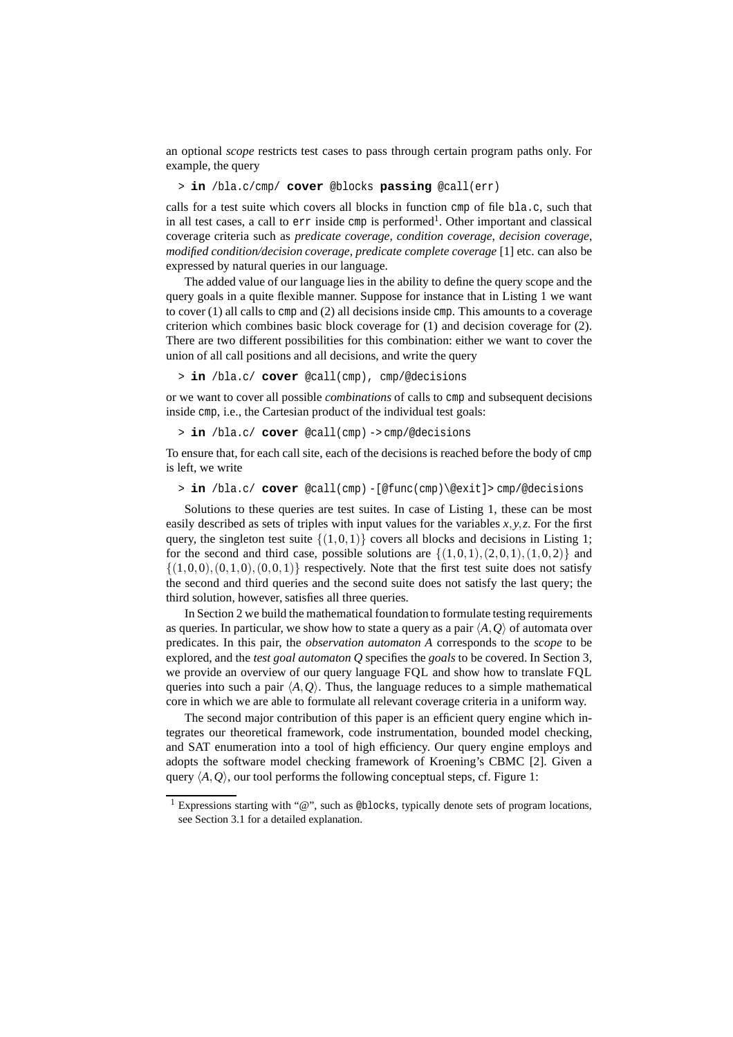an optional *scope* restricts test cases to pass through certain program paths only. For example, the query

> **in** /bla.c/cmp/ **cover** @blocks **passing** @call(err)

calls for a test suite which covers all blocks in function cmp of file bla.c, such that in all test cases, a call to err inside cmp is performed<sup>1</sup>. Other important and classical coverage criteria such as *predicate coverage*, *condition coverage*, *decision coverage*, *modified condition/decision coverage*, *predicate complete coverage* [1] etc. can also be expressed by natural queries in our language.

The added value of our language lies in the ability to define the query scope and the query goals in a quite flexible manner. Suppose for instance that in Listing 1 we want to cover (1) all calls to cmp and (2) all decisions inside cmp. This amounts to a coverage criterion which combines basic block coverage for (1) and decision coverage for (2). There are two different possibilities for this combination: either we want to cover the union of all call positions and all decisions, and write the query

> **in** /bla.c/ **cover** @call(cmp), cmp/@decisions

or we want to cover all possible *combinations* of calls to cmp and subsequent decisions inside cmp, i.e., the Cartesian product of the individual test goals:

> **in** /bla.c/ **cover** @call(cmp) -> cmp/@decisions

To ensure that, for each call site, each of the decisions is reached before the body of cmp is left, we write

> **in** /bla.c/ **cover** @call(cmp) -[@func(cmp)\@exit]> cmp/@decisions

Solutions to these queries are test suites. In case of Listing 1, these can be most easily described as sets of triples with input values for the variables  $x, y, z$ . For the first query, the singleton test suite  $\{(1,0,1)\}$  covers all blocks and decisions in Listing 1; for the second and third case, possible solutions are  $\{(1,0,1),(2,0,1),(1,0,2)\}\)$  and  $\{(1,0,0),(0,1,0),(0,0,1)\}\$  respectively. Note that the first test suite does not satisfy the second and third queries and the second suite does not satisfy the last query; the third solution, however, satisfies all three queries.

In Section 2 we build the mathematical foundation to formulate testing requirements as queries. In particular, we show how to state a query as a pair  $\langle A, Q \rangle$  of automata over predicates. In this pair, the *observation automaton A* corresponds to the *scope* to be explored, and the *test goal automaton Q* specifies the *goals* to be covered. In Section 3, we provide an overview of our query language FQL and show how to translate FQL queries into such a pair  $\langle A, Q \rangle$ . Thus, the language reduces to a simple mathematical core in which we are able to formulate all relevant coverage criteria in a uniform way.

The second major contribution of this paper is an efficient query engine which integrates our theoretical framework, code instrumentation, bounded model checking, and SAT enumeration into a tool of high efficiency. Our query engine employs and adopts the software model checking framework of Kroening's CBMC [2]. Given a query  $\langle A, O \rangle$ , our tool performs the following conceptual steps, cf. Figure 1:

<sup>&</sup>lt;sup>1</sup> Expressions starting with " $@$ ", such as  $@blocks$ , typically denote sets of program locations, see Section 3.1 for a detailed explanation.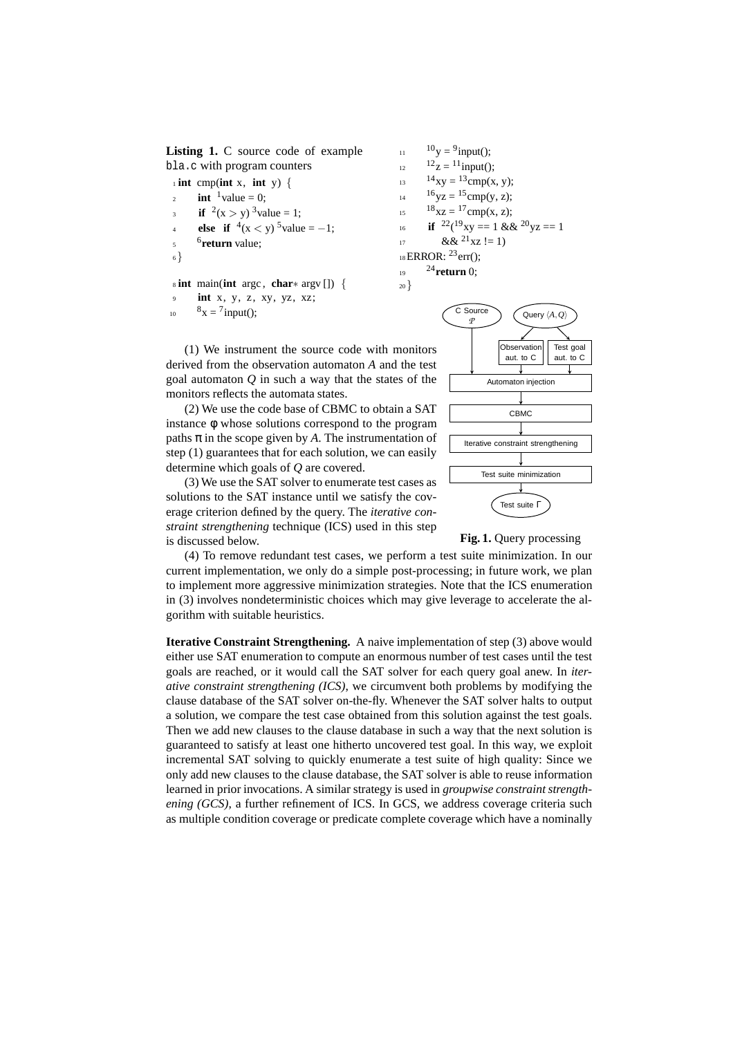Listing 1. C source code of example bla.c with program counters

 $\frac{1}{1}$  **int** cmp(**int** x, **int** y) {

- 2 **int**  $\frac{1}{2}$ value = 0;
- 3 **if**  $2(x > y)$   $3$  value = 1;
- 4 **else if**  $(4)(x < y)$ <sup>5</sup>value = -1;

$$
5 \qquad \qquad ^6 \textbf{return value};
$$

6 }

<sup>8</sup> **int** main(**int** argc , **char**∗ argv []) { <sup>9</sup> **int** x, y, z, xy, yz, xz;

```
10 8x = 7 input();
```
(1) We instrument the source code with monitors derived from the observation automaton *A* and the test goal automaton *Q* in such a way that the states of the monitors reflects the automata states.

(2) We use the code base of CBMC to obtain a SAT instance φ whose solutions correspond to the program paths  $\pi$  in the scope given by *A*. The instrumentation of step (1) guarantees that for each solution, we can easily determine which goals of *Q* are covered.

(3) We use the SAT solver to enumerate test cases as solutions to the SAT instance until we satisfy the coverage criterion defined by the query. The *iterative constraint strengthening* technique (ICS) used in this step is discussed below.

```
10y = 9 input();
12 12 Z = 11 input();
^{14}xy = ^{13}cmp(x, y);
14 16yz = 15 cmp(y, z);
15 \qquad 18xz = 17cmp(x, z);
16 if {}^{22}({}^{19}xy == 1 \&\& \frac{20}{yz} == 117 & 21xz != 1)_{18}ERROR: ^{23}err():
19 24return 0;
20 }
```




(4) To remove redundant test cases, we perform a test suite minimization. In our current implementation, we only do a simple post-processing; in future work, we plan to implement more aggressive minimization strategies. Note that the ICS enumeration in (3) involves nondeterministic choices which may give leverage to accelerate the algorithm with suitable heuristics.

**Iterative Constraint Strengthening.** A naive implementation of step (3) above would either use SAT enumeration to compute an enormous number of test cases until the test goals are reached, or it would call the SAT solver for each query goal anew. In *iterative constraint strengthening (ICS)*, we circumvent both problems by modifying the clause database of the SAT solver on-the-fly. Whenever the SAT solver halts to output a solution, we compare the test case obtained from this solution against the test goals. Then we add new clauses to the clause database in such a way that the next solution is guaranteed to satisfy at least one hitherto uncovered test goal. In this way, we exploit incremental SAT solving to quickly enumerate a test suite of high quality: Since we only add new clauses to the clause database, the SAT solver is able to reuse information learned in prior invocations. A similar strategy is used in *groupwise constraint strengthening (GCS)*, a further refinement of ICS. In GCS, we address coverage criteria such as multiple condition coverage or predicate complete coverage which have a nominally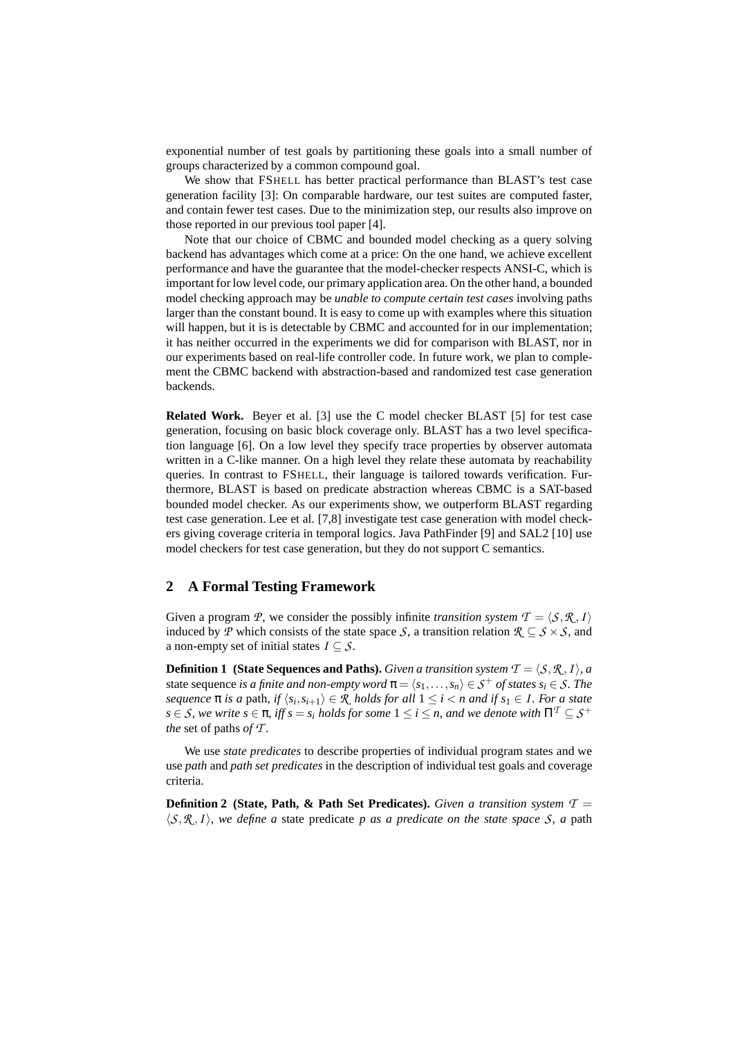exponential number of test goals by partitioning these goals into a small number of groups characterized by a common compound goal.

We show that FSHELL has better practical performance than BLAST's test case generation facility [3]: On comparable hardware, our test suites are computed faster, and contain fewer test cases. Due to the minimization step, our results also improve on those reported in our previous tool paper [4].

Note that our choice of CBMC and bounded model checking as a query solving backend has advantages which come at a price: On the one hand, we achieve excellent performance and have the guarantee that the model-checker respects ANSI-C, which is important for low level code, our primary application area. On the other hand, a bounded model checking approach may be *unable to compute certain test cases* involving paths larger than the constant bound. It is easy to come up with examples where this situation will happen, but it is is detectable by CBMC and accounted for in our implementation; it has neither occurred in the experiments we did for comparison with BLAST, nor in our experiments based on real-life controller code. In future work, we plan to complement the CBMC backend with abstraction-based and randomized test case generation backends.

**Related Work.** Beyer et al. [3] use the C model checker BLAST [5] for test case generation, focusing on basic block coverage only. BLAST has a two level specification language [6]. On a low level they specify trace properties by observer automata written in a C-like manner. On a high level they relate these automata by reachability queries. In contrast to FSHELL, their language is tailored towards verification. Furthermore, BLAST is based on predicate abstraction whereas CBMC is a SAT-based bounded model checker. As our experiments show, we outperform BLAST regarding test case generation. Lee et al. [7,8] investigate test case generation with model checkers giving coverage criteria in temporal logics. Java PathFinder [9] and SAL2 [10] use model checkers for test case generation, but they do not support C semantics.

### **2 A Formal Testing Framework**

Given a program *P*, we consider the possibly infinite *transition system*  $\mathcal{T} = \langle S, \mathcal{R}, I \rangle$ induced by *P* which consists of the state space *S*, a transition relation  $\mathcal{R} \subseteq S \times S$ , and a non-empty set of initial states  $I \subseteq S$ .

**Definition 1** (State Sequences and Paths). *Given a transition system*  $\mathcal{T} = \langle \mathcal{S}, \mathcal{R}, I \rangle$ , *a* state sequence *is a finite and non-empty word*  $\pi = \langle s_1, \ldots, s_n \rangle \in S^+$  *of states*  $s_i \in S$ *. The sequence*  $\pi$  *is a* path, *if*  $\langle s_i, s_{i+1} \rangle \in \mathcal{R}$  *holds for all*  $1 \leq i < n$  *and if*  $s_1 \in I$ *. For a state*  $s \in S$ , we write  $s \in \pi$ , iff  $s = s_i$  holds for some  $1 \leq i \leq n$ , and we denote with  $\Pi^T \subseteq S^+$ *the* set of paths *of T .*

We use *state predicates* to describe properties of individual program states and we use *path* and *path set predicates* in the description of individual test goals and coverage criteria.

**Definition 2 (State, Path, & Path Set Predicates).** *Given a transition system*  $T =$  $\langle S, \mathcal{R}, I \rangle$ , we define a state predicate *p as a predicate on the state space S*, *a* path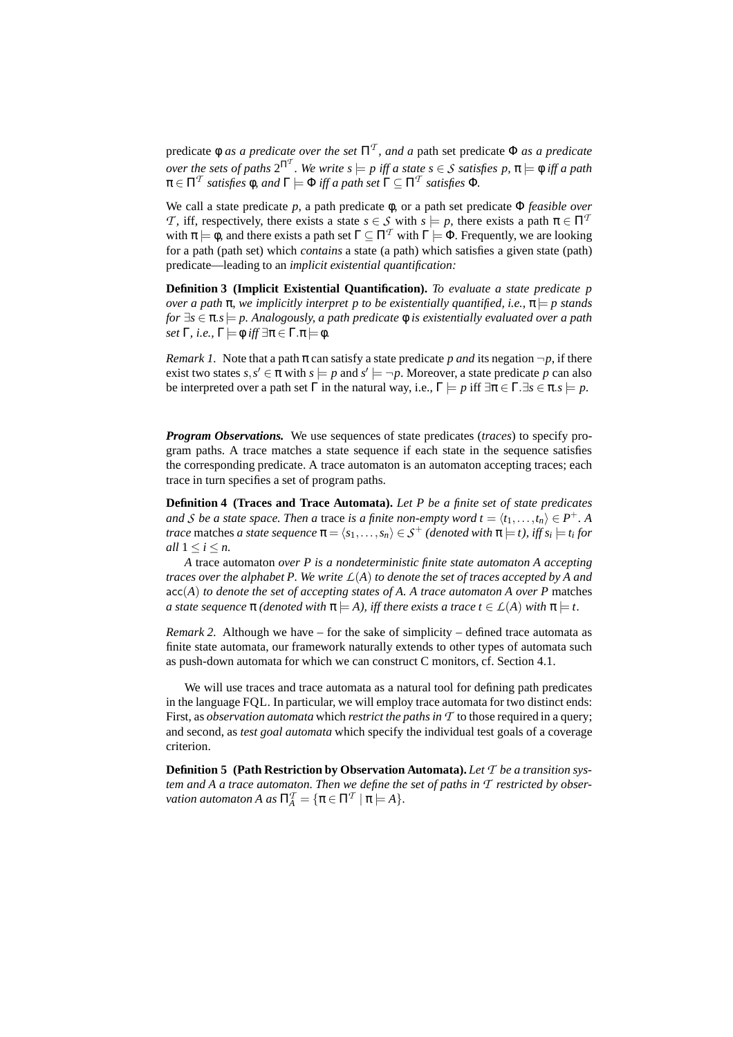predicate φ *as a predicate over the set* Π*<sup>T</sup> , and a* path set predicate Φ *as a predicate over the sets of paths*  $2^{\Pi^T}$ *. We write s*  $\models p$  *iff a state s*  $\in$  *S satisfies p,*  $\pi \models \phi$  *iff a path*  $\pi$   $\in$   $\Pi^{\mathcal{T}}$  satisfies  $\phi$ *, and*  $\Gamma \models \Phi$  *iff a path set*  $\Gamma \subseteq \Pi^{\mathcal{T}}$  *satisfies*  $\Phi$ *.* 

We call a state predicate *p*, a path predicate φ, or a path set predicate Φ *feasible over T*, iff, respectively, there exists a state  $s \in S$  with  $s \models p$ , there exists a path  $\pi \in \Pi^T$ with  $\pi \models \phi$ , and there exists a path set  $\Gamma \subseteq \Pi^T$  with  $\Gamma \models \Phi$ . Frequently, we are looking for a path (path set) which *contains* a state (a path) which satisfies a given state (path) predicate—leading to an *implicit existential quantification:*

**Definition 3 (Implicit Existential Quantification).** *To evaluate a state predicate p over a path* π*, we implicitly interpret p to be existentially quantified, i.e.,*  $\pi$   $\models$  *p stands for* ∃*s* ∈ π.*s*|= *p. Analogously, a path predicate* φ *is existentially evaluated over a path set* Γ*, i.e.,* Γ $\models$  φ *iff*  $∃π ∈ Γ.π |=φ$ .

*Remark 1.* Note that a path  $\pi$  can satisfy a state predicate *p and* its negation  $\neg p$ , if there exist two states  $s, s' \in \pi$  with  $s \models p$  and  $s' \models \neg p$ . Moreover, a state predicate p can also be interpreted over a path set  $\Gamma$  in the natural way, i.e.,  $\Gamma \models p$  iff  $\exists \pi \in \Gamma \exists s \in \pi . s \models p$ .

*Program Observations.* We use sequences of state predicates (*traces*) to specify program paths. A trace matches a state sequence if each state in the sequence satisfies the corresponding predicate. A trace automaton is an automaton accepting traces; each trace in turn specifies a set of program paths.

**Definition 4 (Traces and Trace Automata).** *Let P be a finite set of state predicates and S be a state space. Then a trace is a finite non-empty word*  $t = \langle t_1, \ldots, t_n \rangle \in P^+$ *. A trace* matches *a state sequence*  $\pi = \langle s_1, \ldots, s_n \rangle \in \mathcal{S}^+$  *(denoted with*  $\pi \models t$ *), iff*  $s_i \models t_i$  *for all*  $1 \leq i \leq n$ .

*A* trace automaton *over P is a nondeterministic finite state automaton A accepting traces over the alphabet P. We write L*(*A*) *to denote the set of traces accepted by A and* acc(*A*) *to denote the set of accepting states of A. A trace automaton A over P* matches *a state sequence*  $\pi$  *(denoted with*  $\pi \models A$ *), iff there exists a trace*  $t \in L(A)$  *with*  $\pi \models t$ *.* 

*Remark 2.* Although we have – for the sake of simplicity – defined trace automata as finite state automata, our framework naturally extends to other types of automata such as push-down automata for which we can construct C monitors, cf. Section 4.1.

We will use traces and trace automata as a natural tool for defining path predicates in the language FQL. In particular, we will employ trace automata for two distinct ends: First, as *observation automata* which *restrict the paths in T* to those required in a query; and second, as *test goal automata* which specify the individual test goals of a coverage criterion.

**Definition 5 (Path Restriction by Observation Automata).** *Let T be a transition system and A a trace automaton. Then we define the set of paths in T restricted by observation automaton A as*  $\Pi_A^T = {\pi \in \Pi^T \mid \pi \models A}$ *.*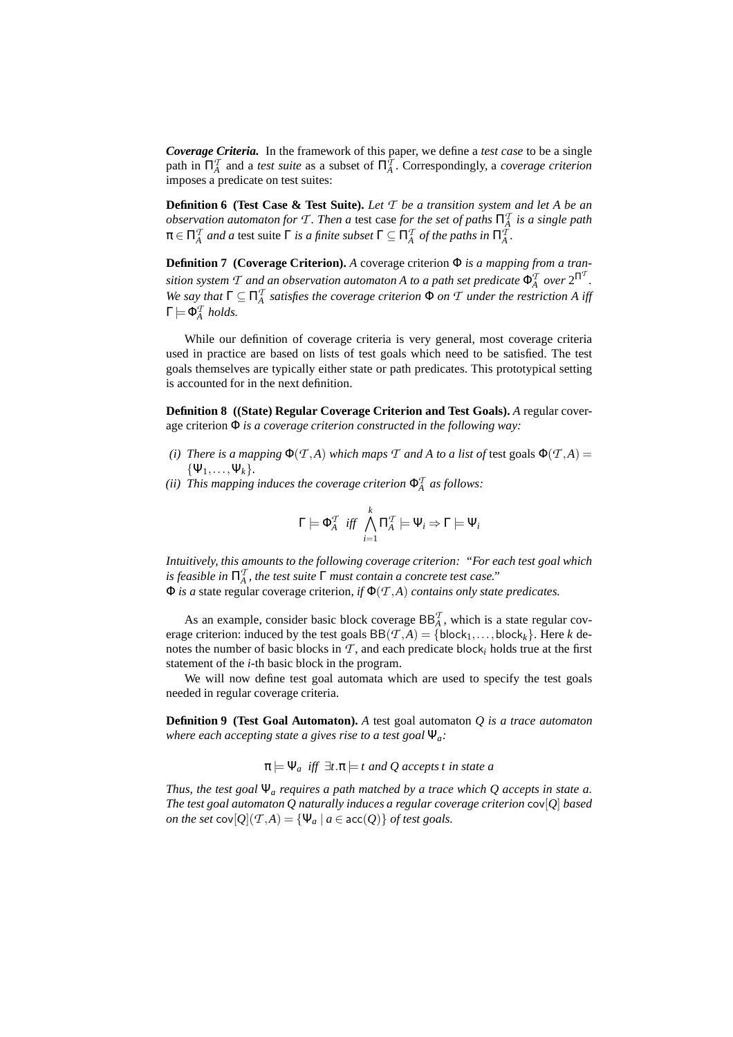*Coverage Criteria.* In the framework of this paper, we define a *test case* to be a single path in  $\Pi_A^T$  and a *test suite* as a subset of  $\Pi_A^T$ . Correspondingly, a *coverage criterion* imposes a predicate on test suites:

**Definition 6 (Test Case & Test Suite).** *Let T be a transition system and let A be an observation automaton for T . Then a* test case *for the set of paths* Π*<sup>T</sup> A is a single path*  $\pi \in \Pi_A^T$  and a test suite  $\Gamma$  *is a finite subset*  $\Gamma \subseteq \Pi_A^T$  *of the paths in*  $\Pi_A^T$ .

**Definition 7 (Coverage Criterion).** *A* coverage criterion Φ *is a mapping from a transition system*  $T$  *and an observation automaton* A to a path set predicate  $\Phi_{A}^{T}$  over  $2^{\Pi^{T}}$ . *We say that*  $\Gamma \subseteq \Pi_A^T$  *satisfies the coverage criterion*  $\Phi$  *on*  $T$  *under the restriction* A *iff*  $\Gamma \models \Phi_A^T$  *holds.* 

While our definition of coverage criteria is very general, most coverage criteria used in practice are based on lists of test goals which need to be satisfied. The test goals themselves are typically either state or path predicates. This prototypical setting is accounted for in the next definition.

**Definition 8 ((State) Regular Coverage Criterion and Test Goals).** *A* regular coverage criterion Φ *is a coverage criterion constructed in the following way:*

- *(i)* There is a mapping  $\Phi(\mathcal{T}, A)$  which maps  $\mathcal T$  and  $A$  to a list of test goals  $\Phi(\mathcal{T}, A) =$ {Ψ1,...,Ψ*k*}*.*
- *(ii)* This mapping induces the coverage criterion  $\Phi_A^T$  as follows:

$$
\Gamma \models \Phi_{A}^{\mathcal{T}} \text{ iff } \bigwedge_{i=1}^{k} \Pi_{A}^{\mathcal{T}} \models \Psi_{i} \Rightarrow \Gamma \models \Psi_{i}
$$

*Intuitively, this amounts to the following coverage criterion: "For each test goal which* is feasible in  $\Pi_{{\cal A}}^{{\cal T}}$  , the test suite  $\Gamma$  must contain a concrete test case."

Φ *is a* state regular coverage criterion*, if* Φ(*T* ,*A*) *contains only state predicates.*

As an example, consider basic block coverage  $BB_A^T$ , which is a state regular coverage criterion: induced by the test goals  $BB(\mathcal{T}, A) = \{block_1, \ldots, block_k\}$ . Here *k* denotes the number of basic blocks in  $\mathcal T$ , and each predicate block<sub>*i*</sub> holds true at the first statement of the *i*-th basic block in the program.

We will now define test goal automata which are used to specify the test goals needed in regular coverage criteria.

**Definition 9 (Test Goal Automaton).** *A* test goal automaton *Q is a trace automaton where each accepting state a gives rise to a test goal* Ψ*a:*

$$
\pi \models \Psi_a \text{ iff } \exists t . \pi \models t \text{ and } Q \text{ accepts } t \text{ in state } a
$$

*Thus, the test goal* Ψ*<sup>a</sup> requires a path matched by a trace which Q accepts in state a. The test goal automaton Q naturally induces a regular coverage criterion* cov[*Q*] *based on the set*  $\text{cov}[Q](\mathcal{T}, A) = {\Psi_a | a \in \text{acc}(Q)}$  *of test goals.*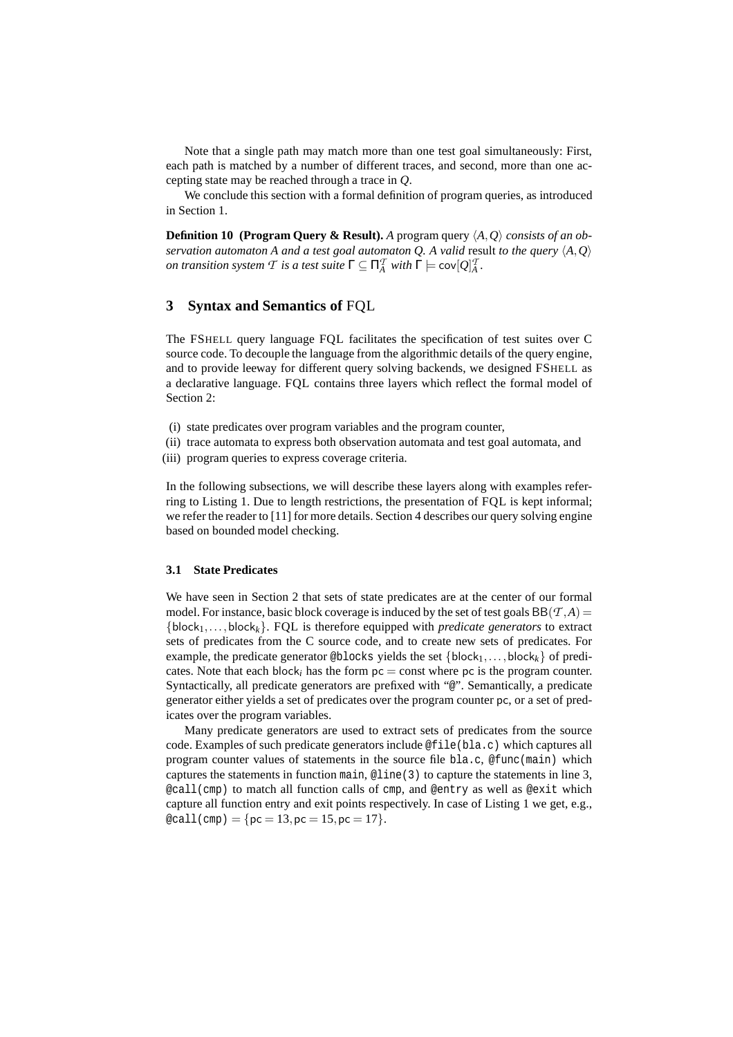Note that a single path may match more than one test goal simultaneously: First, each path is matched by a number of different traces, and second, more than one accepting state may be reached through a trace in *Q*.

We conclude this section with a formal definition of program queries, as introduced in Section 1.

**Definition 10** (Program Query & Result). A program query  $\langle A, Q \rangle$  *consists of an observation automaton A and a test goal automaton Q. A valid result to the query*  $\langle A, Q \rangle$ *on transition system*  $\mathcal T$  *is a test suite*  $\Gamma \subseteq \Pi_A^{\mathcal T}$  *with*  $\Gamma \models \text{cov}[Q]_A^{\mathcal T}$ *.* 

# **3 Syntax and Semantics of** FQL

The FSHELL query language FQL facilitates the specification of test suites over C source code. To decouple the language from the algorithmic details of the query engine, and to provide leeway for different query solving backends, we designed FSHELL as a declarative language. FQL contains three layers which reflect the formal model of Section 2:

- (i) state predicates over program variables and the program counter,
- (ii) trace automata to express both observation automata and test goal automata, and
- (iii) program queries to express coverage criteria.

In the following subsections, we will describe these layers along with examples referring to Listing 1. Due to length restrictions, the presentation of FQL is kept informal; we refer the reader to [11] for more details. Section 4 describes our query solving engine based on bounded model checking.

#### **3.1 State Predicates**

We have seen in Section 2 that sets of state predicates are at the center of our formal model. For instance, basic block coverage is induced by the set of test goals  $BB(T, A)$  ${\{\text{block}_1,\ldots,\text{block}_k\}}$ . FQL is therefore equipped with *predicate generators* to extract sets of predicates from the C source code, and to create new sets of predicates. For example, the predicate generator  $\&$  blocks yields the set  $\{block_1, \ldots, block_k\}$  of predicates. Note that each block<sub>*i*</sub> has the form  $pc = const$  where pc is the program counter. Syntactically, all predicate generators are prefixed with "@". Semantically, a predicate generator either yields a set of predicates over the program counter pc, or a set of predicates over the program variables.

Many predicate generators are used to extract sets of predicates from the source code. Examples of such predicate generators include  $\mathcal{C}$  ile(bla.c) which captures all program counter values of statements in the source file bla.c, @func(main) which captures the statements in function main, @line(3) to capture the statements in line 3, @call(cmp) to match all function calls of cmp, and @entry as well as @exit which capture all function entry and exit points respectively. In case of Listing 1 we get, e.g.,  $\text{Qcal1}(\text{cmp}) = \{pc = 13, pc = 15, pc = 17\}.$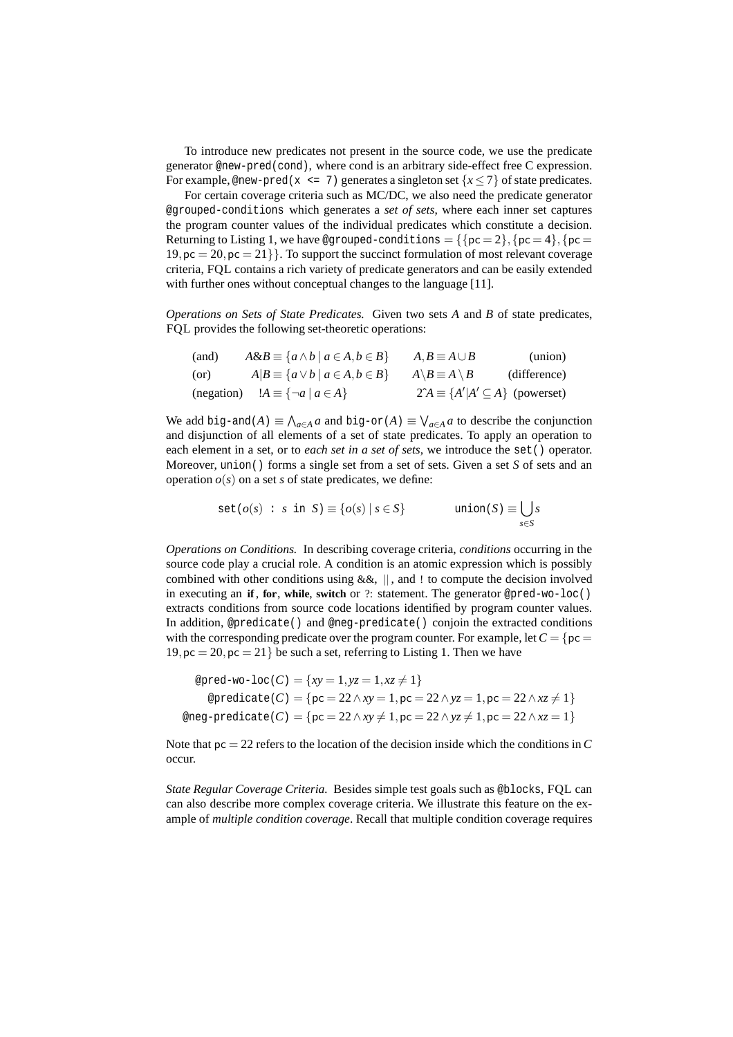To introduce new predicates not present in the source code, we use the predicate generator @new-pred(cond), where cond is an arbitrary side-effect free C expression. For example, @new-pred(x <= 7) generates a singleton set  $\{x \le 7\}$  of state predicates.

For certain coverage criteria such as MC/DC, we also need the predicate generator @grouped-conditions which generates a *set of sets*, where each inner set captures the program counter values of the individual predicates which constitute a decision. Returning to Listing 1, we have @grouped-conditions =  $\{pc = 2\}, \{pc = 4\}, \{pc = 1, \ldots, pc\}$  $19, pc = 20, pc = 21$ . To support the succinct formulation of most relevant coverage criteria, FQL contains a rich variety of predicate generators and can be easily extended with further ones without conceptual changes to the language [11].

*Operations on Sets of State Predicates.* Given two sets *A* and *B* of state predicates, FQL provides the following set-theoretic operations:

| (and) | $A\&B \equiv \{a \wedge b \mid a \in A, b \in B\}$ | $A, B \equiv A \cup B$                 | (union)                                            |
|-------|----------------------------------------------------|----------------------------------------|----------------------------------------------------|
| (or)  | $A B \equiv \{a \vee b \mid a \in A, b \in B\}$    | $A \backslash B \equiv A \backslash B$ | (difference)                                       |
|       | (negation) $!A \equiv \{\neg a \mid a \in A\}$     |                                        | $2\hat{}A \equiv \{A' A' \subseteq A\}$ (powerset) |

We add big-and(*A*)  $\equiv \bigwedge_{a \in A} a$  and big-or(*A*)  $\equiv \bigvee_{a \in A} a$  to describe the conjunction and disjunction of all elements of a set of state predicates. To apply an operation to each element in a set, or to *each set in a set of sets*, we introduce the set() operator. Moreover, union() forms a single set from a set of sets. Given a set *S* of sets and an operation  $o(s)$  on a set *s* of state predicates, we define:

$$
set(o(s) : s in S) \equiv \{o(s) \mid s \in S\} \qquad \text{union}(S) \equiv \bigcup_{s \in S} s
$$

*Operations on Conditions.* In describing coverage criteria, *conditions* occurring in the source code play a crucial role. A condition is an atomic expression which is possibly combined with other conditions using  $\&&$ ,  $\parallel$ , and  $\parallel$  to compute the decision involved in executing an **if**, **for**, **while**, **switch** or ?: statement. The generator @pred-wo-loc() extracts conditions from source code locations identified by program counter values. In addition, @predicate() and @neg-predicate() conjoin the extracted conditions with the corresponding predicate over the program counter. For example, let  $C = \{pc =$ 19,  $pc = 20$ ,  $pc = 21$ } be such a set, referring to Listing 1. Then we have

$$
\begin{aligned}\n\text{@pred-wo-loc}(C) &= \{ xy = 1, yz = 1, xz \neq 1 \} \\
& \text{@predicate}(C) = \{ \text{pc} = 22 \land xy = 1, \text{pc} = 22 \land yz = 1, \text{pc} = 22 \land xz \neq 1 \} \\
\text{@neg-predicate}(C) &= \{ \text{pc} = 22 \land xy \neq 1, \text{pc} = 22 \land yz \neq 1, \text{pc} = 22 \land xz = 1 \} \n\end{aligned}
$$

Note that pc = 22 refers to the location of the decision inside which the conditions in *C* occur.

*State Regular Coverage Criteria.* Besides simple test goals such as @blocks, FQL can can also describe more complex coverage criteria. We illustrate this feature on the example of *multiple condition coverage*. Recall that multiple condition coverage requires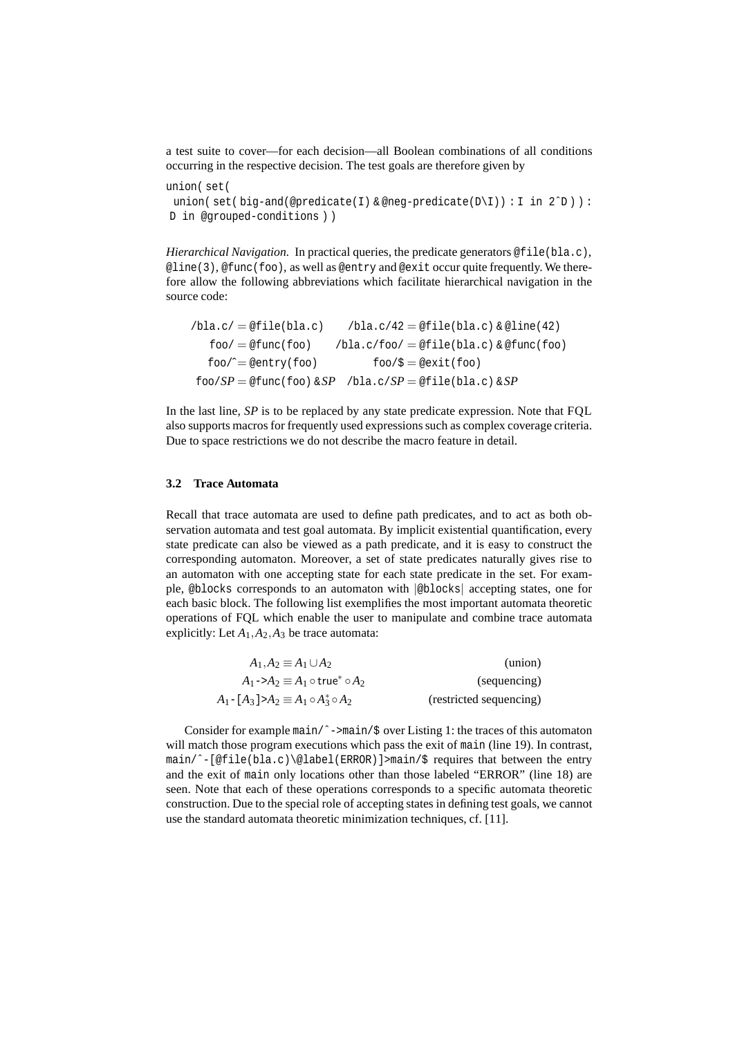a test suite to cover—for each decision—all Boolean combinations of all conditions occurring in the respective decision. The test goals are therefore given by

```
union( set(
 union( set( big-and(@predicate(I) & @neg-predicate(D\I)) : I in 2^D) ) :
D in @grouped-conditions ) )
```
*Hierarchical Navigation.* In practical queries, the predicate generators @file(bla.c), @line(3), @func(foo), as well as @entry and @exit occur quite frequently. We therefore allow the following abbreviations which facilitate hierarchical navigation in the source code:

$$
\begin{array}{ll}\n\text{/bla.c/} = \text{@file(bla.c)} & \text{/bla.c/42} = \text{@file(bla.c)} \& \text{@line(42)} \\
\text{foo/} = \text{@func(foo)} & \text{/bla.c/foo/} = \text{@file(bla.c)} \& \text{@func(foo)} \\
\text{foo/} = \text{@entry(foo)} & \text{foo/$} = \text{@exit(foo)} \\
\text{foo/SP} = \text{@func(foo)} \& SP & \text{/bla.c/SP} = \text{@file(bla.c)} \& SP\n\end{array}
$$

In the last line, *SP* is to be replaced by any state predicate expression. Note that FQL also supports macros for frequently used expressions such as complex coverage criteria. Due to space restrictions we do not describe the macro feature in detail.

#### **3.2 Trace Automata**

Recall that trace automata are used to define path predicates, and to act as both observation automata and test goal automata. By implicit existential quantification, every state predicate can also be viewed as a path predicate, and it is easy to construct the corresponding automaton. Moreover, a set of state predicates naturally gives rise to an automaton with one accepting state for each state predicate in the set. For example, @blocks corresponds to an automaton with |@blocks| accepting states, one for each basic block. The following list exemplifies the most important automata theoretic operations of FQL which enable the user to manipulate and combine trace automata explicitly: Let *A*1,*A*2,*A*<sup>3</sup> be trace automata:

| (union)                 | $A_1, A_2 \equiv A_1 \cup A_2$                           |
|-------------------------|----------------------------------------------------------|
| (sequencing)            | $A_1$ -> $A_2 \equiv A_1 \circ \text{true}^* \circ A_2$  |
| (restricted sequencing) | $A_1$ -[ $A_3$ ]> $A_2 \equiv A_1 \circ A_3^* \circ A_2$ |

Consider for example main/ˆ->main/\$ over Listing 1: the traces of this automaton will match those program executions which pass the exit of main (line 19). In contrast, main/ˆ-[@file(bla.c)\@label(ERROR)]>main/\$ requires that between the entry and the exit of main only locations other than those labeled "ERROR" (line 18) are seen. Note that each of these operations corresponds to a specific automata theoretic construction. Due to the special role of accepting states in defining test goals, we cannot use the standard automata theoretic minimization techniques, cf. [11].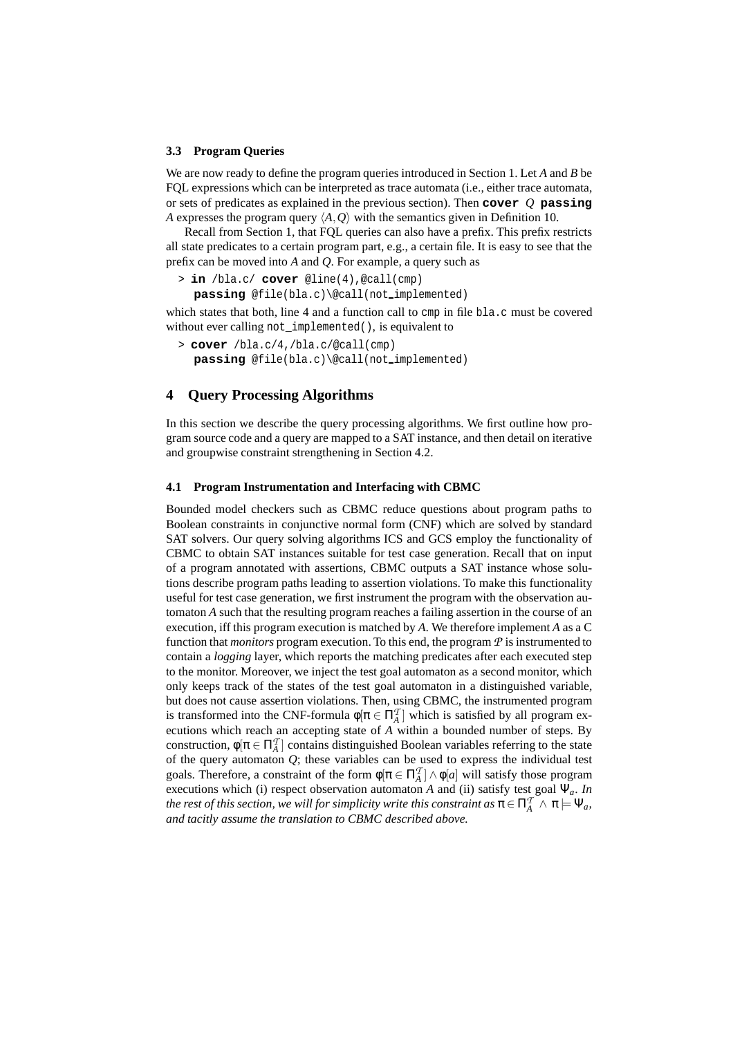#### **3.3 Program Queries**

We are now ready to define the program queries introduced in Section 1. Let *A* and *B* be FQL expressions which can be interpreted as trace automata (i.e., either trace automata, or sets of predicates as explained in the previous section). Then **cover** *Q* **passing** *A* expresses the program query  $\langle A, O \rangle$  with the semantics given in Definition 10.

Recall from Section 1, that FQL queries can also have a prefix. This prefix restricts all state predicates to a certain program part, e.g., a certain file. It is easy to see that the prefix can be moved into *A* and *Q*. For example, a query such as

> **in** /bla.c/ **cover** @line(4),@call(cmp) **passing** @file(bla.c)\@call(not implemented)

which states that both, line 4 and a function call to cmp in file bla.c must be covered without ever calling not\_implemented(), is equivalent to

```
> cover /bla.c/4,/bla.c/@call(cmp)
  passing @file(bla.c)\@call(not implemented)
```
### **4 Query Processing Algorithms**

In this section we describe the query processing algorithms. We first outline how program source code and a query are mapped to a SAT instance, and then detail on iterative and groupwise constraint strengthening in Section 4.2.

#### **4.1 Program Instrumentation and Interfacing with CBMC**

Bounded model checkers such as CBMC reduce questions about program paths to Boolean constraints in conjunctive normal form (CNF) which are solved by standard SAT solvers. Our query solving algorithms ICS and GCS employ the functionality of CBMC to obtain SAT instances suitable for test case generation. Recall that on input of a program annotated with assertions, CBMC outputs a SAT instance whose solutions describe program paths leading to assertion violations. To make this functionality useful for test case generation, we first instrument the program with the observation automaton *A* such that the resulting program reaches a failing assertion in the course of an execution, iff this program execution is matched by *A*. We therefore implement *A* as a C function that *monitors* program execution. To this end, the program *P* is instrumented to contain a *logging* layer, which reports the matching predicates after each executed step to the monitor. Moreover, we inject the test goal automaton as a second monitor, which only keeps track of the states of the test goal automaton in a distinguished variable, but does not cause assertion violations. Then, using CBMC, the instrumented program is transformed into the CNF-formula  $\phi[\pi \in \Pi_A^T]$  which is satisfied by all program executions which reach an accepting state of *A* within a bounded number of steps. By construction,  $\phi[\pi \in \Pi_A^T]$  contains distinguished Boolean variables referring to the state of the query automaton *Q*; these variables can be used to express the individual test goals. Therefore, a constraint of the form  $\phi[\pi \in \Pi_A^T] \wedge \phi[a]$  will satisfy those program executions which (i) respect observation automaton *A* and (ii) satisfy test goal Ψ*a*. *In the rest of this section, we will for simplicity write this constraint as*  $\pi$   $\in$   $\Pi_A^T$   $\wedge$   $\pi$   $\models$   $\Psi_a$ *, and tacitly assume the translation to CBMC described above.*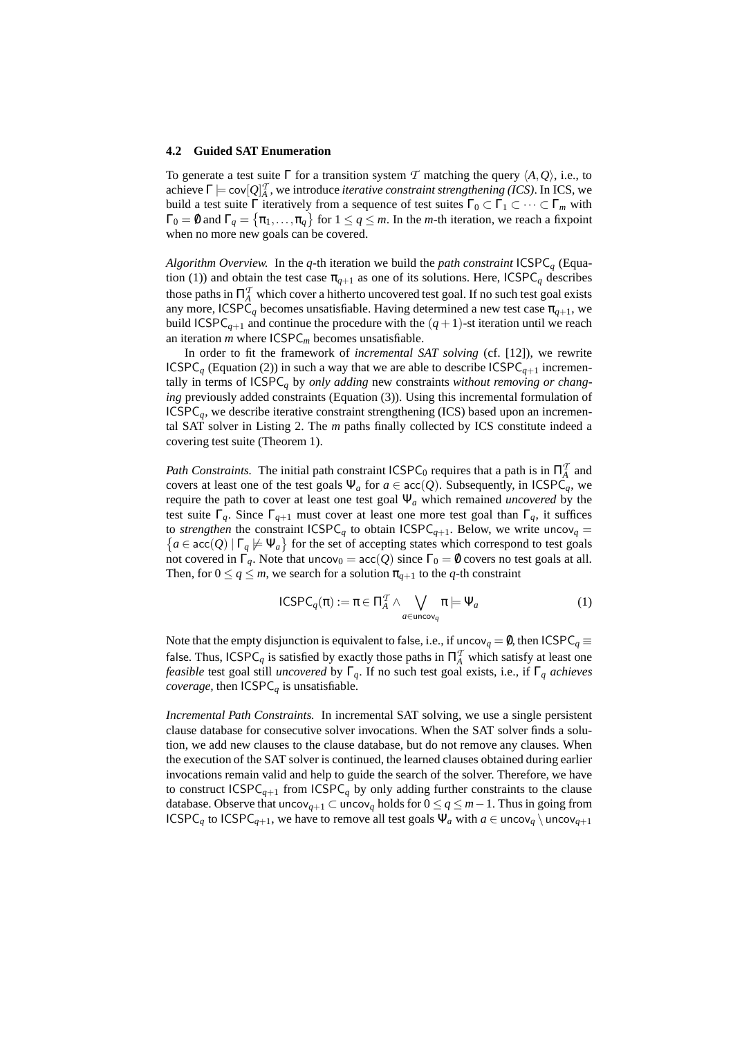#### **4.2 Guided SAT Enumeration**

To generate a test suite Γ for a transition system *T* matching the query  $\langle A, Q \rangle$ , i.e., to achieve  $\Gamma \models \text{cov}[Q]_A^T$ , we introduce *iterative constraint strengthening (ICS)*. In ICS, we build a test suite Γ iteratively from a sequence of test suites  $\Gamma_0 \subset \Gamma_1 \subset \cdots \subset \Gamma_m$  with  $\Gamma_0 = \emptyset$  and  $\Gamma_q = \{ \pi_1, \ldots, \pi_q \}$  for  $1 \le q \le m$ . In the *m*-th iteration, we reach a fixpoint when no more new goals can be covered.

*Algorithm Overview.* In the *q*-th iteration we build the *path constraint* ICSPC*<sup>q</sup>* (Equation (1)) and obtain the test case  $\pi_{q+1}$  as one of its solutions. Here, ICSPC<sub>q</sub> describes those paths in  $\Pi^T_A$  which cover a hitherto uncovered test goal. If no such test goal exists any more,  $\text{ICSPC}_q$  becomes unsatisfiable. Having determined a new test case  $\pi_{q+1}$ , we build ICSPC<sub>q+1</sub> and continue the procedure with the  $(q+1)$ -st iteration until we reach an iteration *m* where ICSPC*<sup>m</sup>* becomes unsatisfiable.

In order to fit the framework of *incremental SAT solving* (cf. [12]), we rewrite ICSPC<sub>q</sub> (Equation (2)) in such a way that we are able to describe  $\text{ICSPC}_{q+1}$  incrementally in terms of ICSPC*<sup>q</sup>* by *only adding* new constraints *without removing or changing* previously added constraints (Equation (3)). Using this incremental formulation of  $ICSPC<sub>a</sub>$ , we describe iterative constraint strengthening (ICS) based upon an incremental SAT solver in Listing 2. The *m* paths finally collected by ICS constitute indeed a covering test suite (Theorem 1).

*Path Constraints.* The initial path constraint  $\text{ICSPC}_0$  requires that a path is in  $\Pi_A^T$  and covers at least one of the test goals  $\Psi_a$  for  $a \in \text{acc}(Q)$ . Subsequently, in ICSPC<sub>q</sub>, we require the path to cover at least one test goal Ψ*<sup>a</sup>* which remained *uncovered* by the test suite  $\Gamma_q$ . Since  $\Gamma_{q+1}$  must cover at least one more test goal than  $\Gamma_q$ , it suffices  $a \in \text{acc}(Q) | \Gamma_q \not\models \Psi_a$  for the set of accepting states which correspond to test goals to *strengthen* the constraint  $\text{ICSPC}_q$  to obtain  $\text{ICSPC}_{q+1}$ . Below, we write uncov<sub>q</sub> = not covered in  $\Gamma_a$ . Note that uncov<sub>0</sub> =  $\operatorname{acc}(Q)$  since  $\Gamma_0 = \emptyset$  covers no test goals at all. Then, for  $0 \le q \le m$ , we search for a solution  $\pi_{q+1}$  to the q-th constraint

$$
\mathsf{ICSPC}_q(\pi) := \pi \in \Pi_A^T \wedge \bigvee_{a \in \mathsf{uncov}_q} \pi \models \Psi_a \tag{1}
$$

Note that the empty disjunction is equivalent to false, i.e., if uncov<sub>q</sub> = 0, then  $\text{ICSPC}_q \equiv$ false. Thus,  $\text{ICSPC}_q$  is satisfied by exactly those paths in  $\Pi_A^T$  which satisfy at least one *feasible* test goal still *uncovered* by Γ*q*. If no such test goal exists, i.e., if Γ*<sup>q</sup> achieves coverage,* then ICSPC*<sup>q</sup>* is unsatisfiable.

*Incremental Path Constraints.* In incremental SAT solving, we use a single persistent clause database for consecutive solver invocations. When the SAT solver finds a solution, we add new clauses to the clause database, but do not remove any clauses. When the execution of the SAT solver is continued, the learned clauses obtained during earlier invocations remain valid and help to guide the search of the solver. Therefore, we have to construct  $\text{ICSPC}_{q+1}$  from  $\text{ICSPC}_q$  by only adding further constraints to the clause database. Observe that uncov<sub>q+1</sub> ⊂ uncov<sub>q</sub> holds for  $0 \le q \le m-1$ . Thus in going from ICSPC<sub>*q*</sub> to ICSPC<sub>*q*+1</sub>, we have to remove all test goals  $\Psi_a$  with  $a \in \text{uncov}_a \setminus \text{uncov}_{a+1}$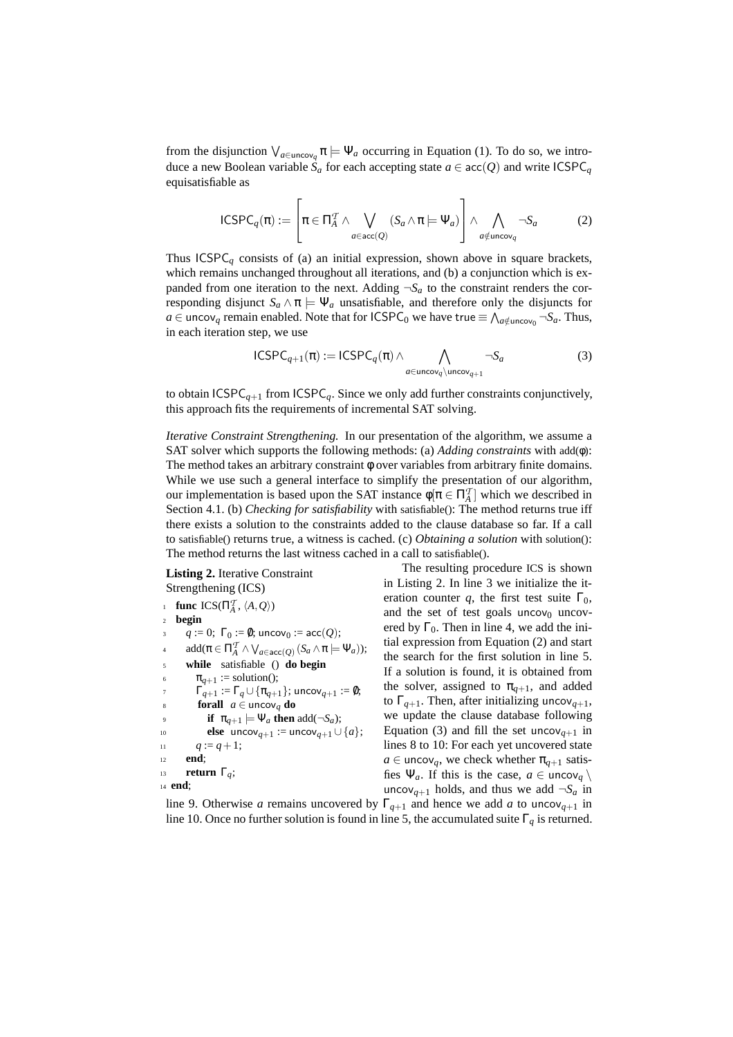from the disjunction  $\bigvee_{a \in \text{uncov}_q} \pi \models \Psi_a$  occurring in Equation (1). To do so, we introduce a new Boolean variable  $\overline{S}_a$  for each accepting state  $a \in \text{acc}(Q)$  and write  $\text{ICSPC}_a$ equisatisfiable as

$$
\text{ICSPC}_q(\pi) := \left[ \pi \in \Pi_A^T \wedge \bigvee_{a \in \text{acc}(Q)} (S_a \wedge \pi \models \Psi_a) \right] \wedge \bigwedge_{a \notin \text{uncov}_q} \neg S_a \tag{2}
$$

Thus  $ICSPC<sub>q</sub>$  consists of (a) an initial expression, shown above in square brackets, which remains unchanged throughout all iterations, and (b) a conjunction which is expanded from one iteration to the next. Adding  $\neg S_a$  to the constraint renders the corresponding disjunct  $S_a \wedge \pi \models \Psi_a$  unsatisfiable, and therefore only the disjuncts for *a* ∈ uncov<sub>q</sub> remain enabled. Note that for  $\mathsf{ICSPC}_0$  we have true  $\equiv \bigwedge_{a \notin \mathsf{uncov}_0} \neg S_a$ . Thus, in each iteration step, we use

$$
\text{ICSPC}_{q+1}(\pi) := \text{ICSPC}_q(\pi) \wedge \bigwedge_{a \in \text{uncov}_q \setminus \text{uncov}_{q+1}} \neg S_a \tag{3}
$$

to obtain  $\text{ICSPC}_{q+1}$  from  $\text{ICSPC}_q$ . Since we only add further constraints conjunctively, this approach fits the requirements of incremental SAT solving.

*Iterative Constraint Strengthening.* In our presentation of the algorithm, we assume a SAT solver which supports the following methods: (a) *Adding constraints* with add(φ): The method takes an arbitrary constraint φ over variables from arbitrary finite domains. While we use such a general interface to simplify the presentation of our algorithm, our implementation is based upon the SAT instance  $\phi[\pi \in \Pi_A^T]$  which we described in Section 4.1. (b) *Checking for satisfiability* with satisfiable(): The method returns true iff there exists a solution to the constraints added to the clause database so far. If a call to satisfiable() returns true, a witness is cached. (c) *Obtaining a solution* with solution(): The method returns the last witness cached in a call to satisfiable().

### **Listing 2.** Iterative Constraint Strengthening (ICS)

**func** ICS( $\Pi_A^T$ ,  $\langle A, Q \rangle$ ) <sup>2</sup> **begin**  $q := 0; \ \Gamma_0 := \emptyset; \text{uncov}_0 := \text{acc}(Q);$  $4$  add $(\pi \in \Pi_A^T \land \bigvee_{a \in \texttt{acc}(Q)} (S_a \land \pi \models \Psi_a));$ <sup>5</sup> **while** satisfiable () **do begin**  $\pi_{q+1}$  := solution();  $\Gamma_{q+1} := \Gamma_q \cup \{\pi_{q+1}\};$  uncov $_{q+1} := \emptyset;$ **forall**  $a \in \text{uncov}_q$  **do if**  $\pi_{q+1} \models \Psi_a$  **then** add( $\neg S_a$ ); 10 **else** uncov<sub>q+1</sub> := uncov<sub>q+1</sub> ∪ {*a*}; 11  $q := q + 1;$ <sup>12</sup> **end**; <sup>13</sup> **return** Γ*q*; <sup>14</sup> **end**;

The resulting procedure ICS is shown in Listing 2. In line 3 we initialize the iteration counter *q*, the first test suite  $\Gamma_0$ , and the set of test goals uncov<sub>0</sub> uncovered by  $\Gamma_0$ . Then in line 4, we add the initial expression from Equation (2) and start the search for the first solution in line 5. If a solution is found, it is obtained from the solver, assigned to  $\pi_{q+1}$ , and added to  $\Gamma_{q+1}$ . Then, after initializing uncov<sub> $q+1$ </sub>, we update the clause database following Equation (3) and fill the set uncov<sub>q+1</sub> in lines 8 to 10: For each yet uncovered state  $a \in \text{uncov}_q$ , we check whether  $\pi_{q+1}$  satisfies  $\Psi_a$ . If this is the case,  $a \in \text{uncov}_a \setminus \mathcal{L}$ uncov<sub>*q*+1</sub> holds, and thus we add  $\neg S_a$  in

line 9. Otherwise *a* remains uncovered by  $\Gamma_{q+1}$  and hence we add *a* to uncov<sub>*q*+1</sub> in line 10. Once no further solution is found in line 5, the accumulated suite  $\Gamma_q$  is returned.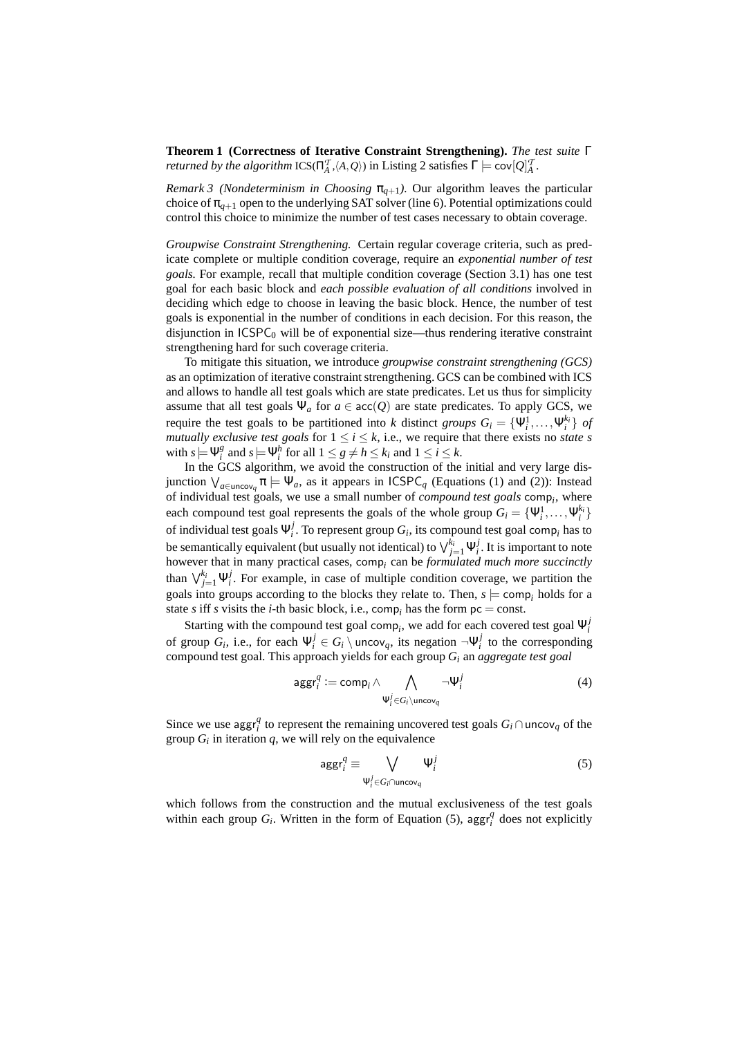# **Theorem 1 (Correctness of Iterative Constraint Strengthening).** *The test suite* Γ *returned by the algorithm*  $\text{ICS}(\Pi_A^T, \langle A, Q \rangle)$  in Listing 2 satisfies  $\Gamma \models \text{cov}[Q]_A^T$ .

*Remark 3 (Nondeterminism in Choosing*  $\pi_{q+1}$ ). Our algorithm leaves the particular choice of  $\pi_{q+1}$  open to the underlying SAT solver (line 6). Potential optimizations could control this choice to minimize the number of test cases necessary to obtain coverage.

*Groupwise Constraint Strengthening.* Certain regular coverage criteria, such as predicate complete or multiple condition coverage, require an *exponential number of test goals.* For example, recall that multiple condition coverage (Section 3.1) has one test goal for each basic block and *each possible evaluation of all conditions* involved in deciding which edge to choose in leaving the basic block. Hence, the number of test goals is exponential in the number of conditions in each decision. For this reason, the disjunction in  $ICSPC<sub>0</sub>$  will be of exponential size—thus rendering iterative constraint strengthening hard for such coverage criteria.

To mitigate this situation, we introduce *groupwise constraint strengthening (GCS)* as an optimization of iterative constraint strengthening. GCS can be combined with ICS and allows to handle all test goals which are state predicates. Let us thus for simplicity assume that all test goals  $\Psi_a$  for  $a \in \text{acc}(Q)$  are state predicates. To apply GCS, we require the test goals to be partitioned into *k* distinct *groups*  $G_i = {\Psi_i^1, \dots, \Psi_i^{k_i}}$  of *mutually exclusive test goals* for  $1 \le i \le k$ , i.e., we require that there exists no *state s* with  $s \models \Psi_i^g$  and  $s \models \Psi_i^h$  for all  $1 \leq g \neq h \leq k_i$  and  $1 \leq i \leq k$ .

In the GCS algorithm, we avoid the construction of the initial and very large disjunction  $\bigvee_{a \in \text{uncov}_q} \pi \models \Psi_a$ , as it appears in  $\mathsf{ICSPC}_q$  (Equations (1) and (2)): Instead of individual test goals, we use a small number of *compound test goals* comp*<sup>i</sup>* , where each compound test goal represents the goals of the whole group  $G_i = {\Psi_i^1, \dots, \Psi_i^{k_i}}$ of individual test goals  $\Psi_i^j$ . To represent group  $G_i$ , its compound test goal comp<sub>i</sub> has to be semantically equivalent (but usually not identical) to  $\bigvee_{j=1}^{k_i} \Psi_i^j$ . It is important to note however that in many practical cases, comp*<sup>i</sup>* can be *formulated much more succinctly* than  $\bigvee_{j=1}^{k_i} \Psi_i^j$ . For example, in case of multiple condition coverage, we partition the goals into groups according to the blocks they relate to. Then,  $s \models \text{comp}_i$  holds for a state *s* iff *s* visits the *i*-th basic block, i.e., comp<sub>*i*</sub> has the form  $pc = const.$ 

Starting with the compound test goal comp<sub>i</sub>, we add for each covered test goal  $\Psi_i^j$ of group  $G_i$ , i.e., for each  $\Psi_i^j \in G_i \setminus \text{uncov}_q$ , its negation  $\neg \Psi_i^j$  to the corresponding compound test goal. This approach yields for each group *G<sup>i</sup>* an *aggregate test goal*

$$
agg^q_i := comp_i \wedge \bigwedge_{\Psi_i^j \in G_i \setminus \text{uncov}_q} \neg \Psi_i^j \tag{4}
$$

Since we use  $\operatorname{aggr}^q_i$  to represent the remaining uncovered test goals  $G_i \cap \text{uncov}_q$  of the group  $G_i$  in iteration  $q$ , we will rely on the equivalence

$$
aggr_i^q \equiv \bigvee_{\Psi_i^j \in G_i \cap \text{uncov}_q} \Psi_i^j \tag{5}
$$

which follows from the construction and the mutual exclusiveness of the test goals within each group  $G_i$ . Written in the form of Equation (5), aggr<sup>q</sup> does not explicitly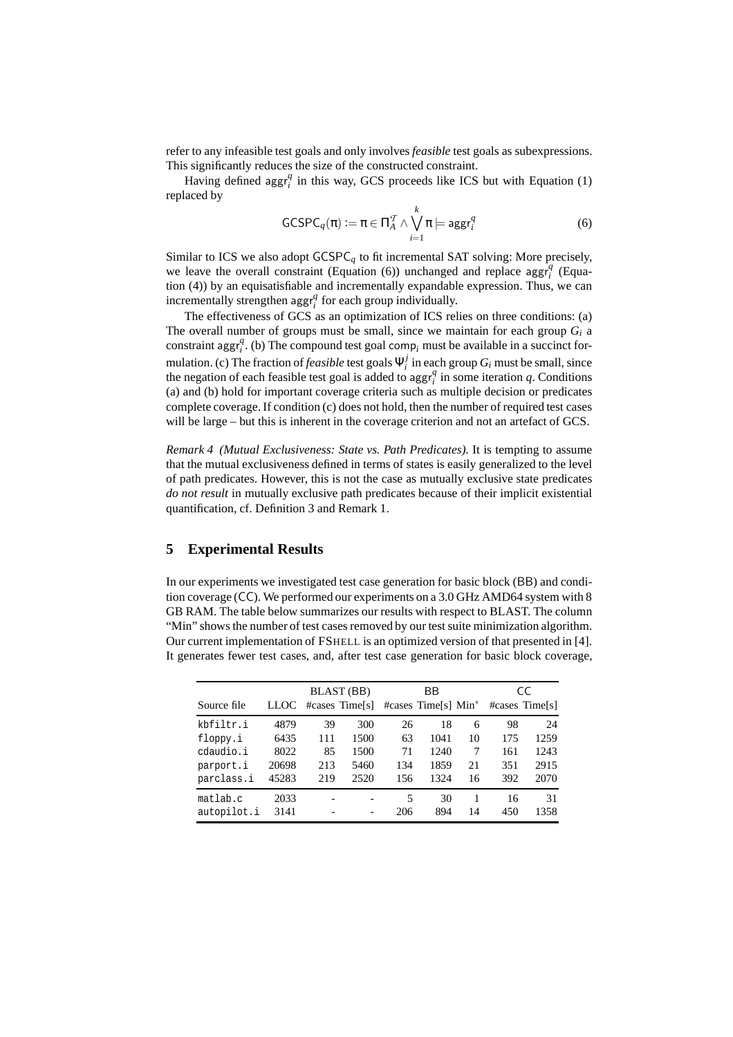refer to any infeasible test goals and only involves *feasible* test goals as subexpressions. This significantly reduces the size of the constructed constraint.

Having defined aggr $_i^q$  in this way, GCS proceeds like ICS but with Equation (1) replaced by

GCSPC<sub>q</sub>(
$$
\pi
$$
) :=  $\pi \in \Pi_A^T \wedge \bigvee_{i=1}^k \pi \models \text{agg} \mathfrak{r}_i^q$  (6)

Similar to ICS we also adopt GCSPC*<sup>q</sup>* to fit incremental SAT solving: More precisely, we leave the overall constraint (Equation (6)) unchanged and replace  $\arg \hat{r}_i^q$  (Equation (4)) by an equisatisfiable and incrementally expandable expression. Thus, we can incrementally strengthen  $\text{agg}_i^q$  for each group individually.

The effectiveness of GCS as an optimization of ICS relies on three conditions: (a) The overall number of groups must be small, since we maintain for each group  $G_i$  a constraint aggr<sup>q</sup>. (b) The compound test goal comp<sub>i</sub> must be available in a succinct formulation. (c) The fraction of *feasible* test goals  $\Psi_i^j$  in each group  $G_i$  must be small, since the negation of each feasible test goal is added to aggr<sup>q</sup> in some iteration q. Conditions (a) and (b) hold for important coverage criteria such as multiple decision or predicates complete coverage. If condition (c) does not hold, then the number of required test cases will be large – but this is inherent in the coverage criterion and not an artefact of GCS.

*Remark 4 (Mutual Exclusiveness: State vs. Path Predicates).* It is tempting to assume that the mutual exclusiveness defined in terms of states is easily generalized to the level of path predicates. However, this is not the case as mutually exclusive state predicates *do not result* in mutually exclusive path predicates because of their implicit existential quantification, cf. Definition 3 and Remark 1.

### **5 Experimental Results**

In our experiments we investigated test case generation for basic block (BB) and condition coverage (CC). We performed our experiments on a 3.0 GHz AMD64 system with 8 GB RAM. The table below summarizes our results with respect to BLAST. The column "Min" shows the number of test cases removed by our test suite minimization algorithm. Our current implementation of FSHELL is an optimized version of that presented in [4]. It generates fewer test cases, and, after test case generation for basic block coverage,

|             |       |     | BLAST (BB)     |     | BB                  |    |     | CC             |
|-------------|-------|-----|----------------|-----|---------------------|----|-----|----------------|
| Source file | LLOC  |     | #cases Time[s] |     | #cases Time[s] Min* |    |     | #cases Time[s] |
| kbfiltr.i   | 4879  | 39  | 300            | 26  | 18                  | 6  | 98  | 24             |
| floppy.i    | 6435  | 111 | 1500           | 63  | 1041                | 10 | 175 | 1259           |
| cdaudio.i   | 8022  | 85  | 1500           | 71  | 1240                | 7  | 161 | 1243           |
| parport.i   | 20698 | 213 | 5460           | 134 | 1859                | 21 | 351 | 2915           |
| parclass.i  | 45283 | 219 | 2520           | 156 | 1324                | 16 | 392 | 2070           |
| matlab.c    | 2033  |     |                | 5   | 30                  |    | 16  | 31             |
| autopilot.i | 3141  |     | -              | 206 | 894                 | 14 | 450 | 1358           |